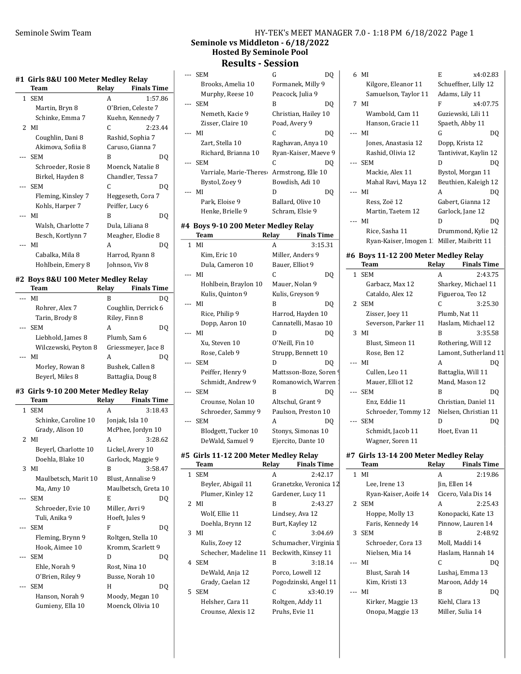#### #1 Girls 8&U 100 Meter Medley Relay

| Team               | Relay |                    |
|--------------------|-------|--------------------|
|                    |       | <b>Finals Time</b> |
| <b>SEM</b>         | A     | 1:57.86            |
| Martin, Bryn 8     |       | O'Brien, Celeste 7 |
| Schinke, Emma 7    |       | Kuehn, Kennedy 7   |
| 2 MI               | C     | 2:23.44            |
| Coughlin, Dani 8   |       | Rashid, Sophia 7   |
| Akimova, Sofiia 8  |       | Caruso, Gianna 7   |
| <b>SEM</b>         | B     | DO                 |
| Schroeder, Rosie 8 |       | Moenck, Natalie 8  |
| Birkel, Hayden 8   |       | Chandler, Tessa 7  |
| <b>SEM</b>         | C     | DQ                 |
| Fleming, Kinsley 7 |       | Heggeseth, Cora 7  |
| Kohls, Harper 7    |       | Peiffer, Lucy 6    |
| MI                 | B     | DO                 |
| Walsh, Charlotte 7 |       | Dula, Liliana 8    |
| Besch, Kortlynn 7  |       | Meagher, Elodie 8  |
| MI                 | A     | DO                 |
| Cabalka, Mila 8    |       | Harrod, Ryann 8    |
| Hohlbein, Emery 8  |       | Johnson, Viv 8     |
|                    |       |                    |

## #2 Boys 8&U 100 Meter Medley Relay

| Team                 | Relay         | <b>Finals Time</b>  |
|----------------------|---------------|---------------------|
| МI                   | B             | DO                  |
| Rohrer, Alex 7       |               | Coughlin, Derrick 6 |
| Tarin, Brody 8       | Riley, Finn 8 |                     |
| <b>SEM</b>           | А             | DO                  |
| Liebhold, James 8    |               | Plumb, Sam 6        |
| Wilczewski, Peyton 8 |               | Griessmeyer, Jace 8 |
| МI                   | А             | DO                  |
| Morley, Rowan 8      |               | Bushek, Callen 8    |
| Beyerl, Miles 8      |               | Battaglia, Doug 8   |

#### #3 Girls 9-10 200 Meter Medley Relay

|              | Team                 | Relav | <b>Finals Time</b>   |
|--------------|----------------------|-------|----------------------|
| $\mathbf{1}$ | <b>SEM</b>           | A     | 3:18.43              |
|              | Schinke, Caroline 10 |       | Jonjak, Isla 10      |
|              | Grady, Alison 10     |       | McPhee, Jordyn 10    |
|              | $2$ MI               | A     | 3:28.62              |
|              | Beyerl, Charlotte 10 |       | Lickel, Avery 10     |
|              | Doehla, Blake 10     |       | Garlock, Maggie 9    |
|              | $3$ MI               | B     | 3:58.47              |
|              | Maulbetsch, Marit 10 |       | Blust, Annalise 9    |
|              | Ma, Amy 10           |       | Maulbetsch, Greta 10 |
| ---          | <b>SEM</b>           | E     | DO                   |
|              | Schroeder, Evie 10   |       | Miller, Avri 9       |
|              | Tuli, Anika 9        |       | Hoeft, Jules 9       |
|              | <b>SEM</b>           | F     | DQ                   |
|              | Fleming, Brynn 9     |       | Roltgen, Stella 10   |
|              | Hook, Aimee 10       |       | Kromm, Scarlett 9    |
|              | <b>SEM</b>           | D     | DQ                   |
|              | Ehle, Norah 9        |       | Rost, Nina 10        |
|              | O'Brien, Riley 9     |       | Busse, Norah 10      |
|              | <b>SEM</b>           | Н     | DQ                   |
|              | Hanson, Norah 9      |       | Moody, Megan 10      |
|              | Gumieny, Ella 10     |       | Moenck, Olivia 10    |

## Seminole Swim Team **HY-TEK's MEET MANAGER 7.0 - 1:18 PM 6/18/2022** Page 1 Seminole vs Middleton - 6/18/2022 Hosted By Seminole Pool

# Results - Session

| ---   | <b>SEM</b>             | G                    |    |
|-------|------------------------|----------------------|----|
|       | Brooks, Amelia 10      | Formanek, Milly 9    |    |
|       | Murphy, Reese 10       | Peacock, Julia 9     |    |
| $---$ | <b>SEM</b>             | B                    | DO |
|       | Nemeth, Kacie 9        | Christian, Hailey 10 |    |
|       | Zisser, Claire 10      | Poad, Avery 9        |    |
|       | --- MI                 | C                    | DO |
|       | Zart, Stella 10        | Raghavan, Anya 10    |    |
|       | Richard, Brianna 10    | Ryan-Kaiser, Maeve 9 |    |
| $---$ | <b>SEM</b>             | C                    | DO |
|       | Varriale, Marie-Theres | Armstrong, Elle 10   |    |
|       | Bystol, Zoev 9         | Bowdish, Adi 10      |    |
| $---$ | МI                     | D                    | DU |
|       | Park, Eloise 9         | Ballard, Olive 10    |    |
|       | Henke, Brielle 9       | Schram, Elsie 9      |    |

#### #4 Boys 9-10 200 Meter Medley Relay

| <b>Team</b>          | Relay | <b>Finals Time</b>     |
|----------------------|-------|------------------------|
| 1 MI                 | А     | 3:15.31                |
| Kim, Eric 10         |       | Miller, Anders 9       |
| Dula, Cameron 10     |       | Bauer, Elliot 9        |
| MI                   | C     | DQ                     |
| Hohlbein, Braylon 10 |       | Mauer, Nolan 9         |
| Kulis, Quinton 9     |       | Kulis, Greyson 9       |
| MI                   | B     | DO                     |
| Rice, Philip 9       |       | Harrod, Hayden 10      |
| Dopp, Aaron 10       |       | Cannatelli, Masao 10   |
| MI                   | D     | DQ                     |
| Xu, Steven 10        |       | O'Neill, Fin 10        |
| Rose, Caleb 9        |       | Strupp, Bennett 10     |
| <b>SEM</b>           | D     | DQ                     |
| Peiffer, Henry 9     |       | Mattsson-Boze, Soren ' |
| Schmidt, Andrew 9    |       | Romanowich, Warren     |
| <b>SEM</b>           | B     | DQ                     |
| Crounse, Nolan 10    |       | Altschul, Grant 9      |
| Schroeder, Sammy 9   |       | Paulson, Preston 10    |
| <b>SEM</b>           | A     | DO                     |
| Blodgett, Tucker 10  |       | Stonys, Simonas 10     |
| DeWald, Samuel 9     |       | Ejercito, Dante 10     |
|                      |       |                        |

#### #5 Girls 11-12 200 Meter Medley Relay

| Team                  | Relay | <b>Finals Time</b>     |
|-----------------------|-------|------------------------|
| 1 SEM                 | A     | 2:42.17                |
| Beyler, Abigail 11    |       | Granetzke, Veronica 12 |
| Plumer, Kinley 12     |       | Gardener, Lucy 11      |
| $2$ MI                | R     | 2:43.27                |
| Wolf, Ellie 11        |       | Lindsey, Ava 12        |
| Doehla, Brynn 12      |       | Burt, Kayley 12        |
| $3$ MI                | C     | 3:04.69                |
| Kulis, Zoev 12        |       | Schumacher, Virginia 1 |
| Schecher, Madeline 11 |       | Beckwith, Kinsey 11    |
| 4 SEM                 | в     | 3:18.14                |
| DeWald, Anja 12       |       | Porco, Lowell 12       |
| Grady, Caelan 12      |       | Pogodzinski, Angel 11  |
| 5 SEM                 | C     | x3:40.19               |
| Helsher, Cara 11      |       | Roltgen, Addy 11       |
| Crounse, Alexis 12    |       | Pruhs, Evie 11         |

| 6 MI                  | E                     | x4:02.83 |
|-----------------------|-----------------------|----------|
| Kilgore, Eleanor 11   | Schueffner, Lilly 12  |          |
| Samuelson, Taylor 11  | Adams, Lily 11        |          |
| 7 MI                  | F                     | x4:07.75 |
| Wambold, Cam 11       | Guziewski, Lili 11    |          |
| Hanson, Gracie 11     | Spaeth, Abby 11       |          |
| MI                    | G                     | DO       |
| Jones, Anastasia 12   | Dopp, Krista 12       |          |
| Rashid, Olivia 12     | Tantivivat, Kaylin 12 |          |
| <b>SEM</b>            | D                     | DO       |
| Mackie, Alex 11       | Bystol, Morgan 11     |          |
| Mahal Ravi, Maya 12   | Beuthien, Kaleigh 12  |          |
| MI                    | A                     | DO       |
| Ress, Zoë 12          | Gabert, Gianna 12     |          |
| Martin, Taetem 12     | Garlock, Jane 12      |          |
| МI                    | D                     | DO       |
| Rice, Sasha 11        | Drummond, Kylie 12    |          |
| Ryan-Kaiser, Imogen 1 | Miller, Maibritt 11   |          |
|                       |                       |          |

# #6 Boys 11-12 200 Meter Medley Relay

| Team                | Relav | <b>Finals Time</b>    |
|---------------------|-------|-----------------------|
| 1 SEM               | A     | 2:43.75               |
| Garbacz, Max 12     |       | Sharkey, Michael 11   |
| Cataldo, Alex 12    |       | Figueroa, Teo 12      |
| 2 SEM               | C     | 3:25.30               |
| Zisser, Joey 11     |       | Plumb, Nat 11         |
| Severson, Parker 11 |       | Haslam, Michael 12    |
| 3 MI                | B     | 3:35.58               |
| Blust, Simeon 11    |       | Rothering, Will 12    |
| Rose, Ben 12        |       | Lamont, Sutherland 11 |
| --- MI              | A     | DQ                    |
| Cullen, Leo 11      |       | Battaglia, Will 11    |
| Mauer, Elliot 12    |       | Mand, Mason 12        |
| --- SEM             | B     | DO                    |
| Enz, Eddie 11       |       | Christian, Daniel 11  |
| Schroeder, Tommy 12 |       | Nielsen, Christian 11 |
| --- SEM             | D     | DQ                    |
| Schmidt, Jacob 11   |       | Hoet, Evan 11         |
| Wagner, Soren 11    |       |                       |

#### #7 Girls 13-14 200 Meter Medley Relay

| Team                  | Relay         | <b>Finals Time</b>  |
|-----------------------|---------------|---------------------|
| $1$ MI                | A             | 2:19.86             |
| Lee, Irene 13         | Jin, Ellen 14 |                     |
| Ryan-Kaiser, Aoife 14 |               | Cicero, Vala Dis 14 |
| 2 SEM                 | A             | 2:25.43             |
| Hoppe, Molly 13       |               | Konopacki, Kate 13  |
| Faris, Kennedy 14     |               | Pinnow, Lauren 14   |
| 3 SEM                 | B             | 2:48.92             |
| Schroeder, Cora 13    |               | Moll, Maddi 14      |
| Nielsen, Mia 14       |               | Haslam, Hannah 14   |
| --- MI                | C             | DO                  |
| Blust, Sarah 14       |               | Lushaj, Emma 13     |
| Kim, Kristi 13        |               | Maroon, Addy 14     |
| --- MI                | B             | DO                  |
| Kirker, Maggie 13     |               | Kiehl, Clara 13     |
| Onopa, Maggie 13      |               | Miller, Sulia 14    |
|                       |               |                     |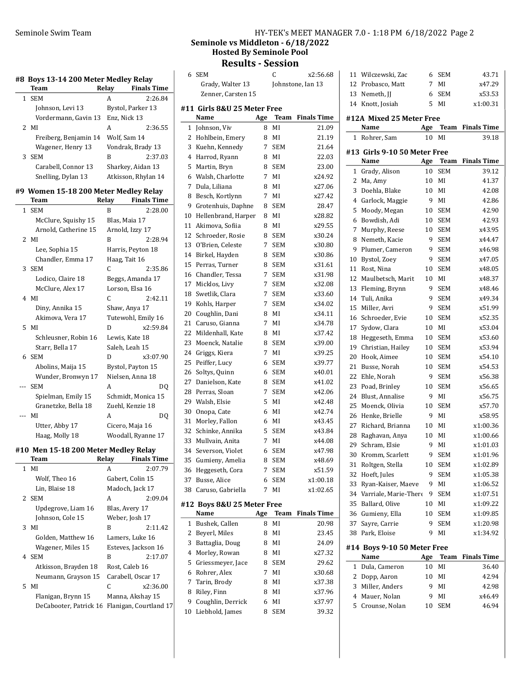#### #8 Boys 13-14 200 Meter Medley Relay

|   | Team                  | Relay        | <b>Finals Time</b>  |  |
|---|-----------------------|--------------|---------------------|--|
| 1 | <b>SEM</b>            | А            | 2:26.84             |  |
|   | Johnson, Levi 13      |              | Bystol, Parker 13   |  |
|   | Vordermann, Gavin 13  | Enz. Nick 13 |                     |  |
|   | 2. MI                 | А            | 2:36.55             |  |
|   | Freiberg, Benjamin 14 |              | Wolf, Sam 14        |  |
|   | Wagener, Henry 13     |              | Vondrak, Brady 13   |  |
| 3 | SEM                   | B            | 2:37.03             |  |
|   | Carabell, Connor 13   |              | Sharkey, Aidan 13   |  |
|   | Snelling, Dylan 13    |              | Atkisson, Rhylan 14 |  |

#### #9 Women 15-18 200 Meter Medley Relay

|     | <b>Team</b>          | Relay | <b>Finals Time</b> |
|-----|----------------------|-------|--------------------|
|     | 1 SEM                | B     | 2:28.00            |
|     | McClure, Squishy 15  |       | Blas, Maia 17      |
|     | Arnold, Catherine 15 |       | Arnold, Izzy 17    |
|     | $2$ MI               | B     | 2:28.94            |
|     | Lee, Sophia 15       |       | Harris, Peyton 18  |
|     | Chandler, Emma 17    |       | Haag, Tait 16      |
| 3   | <b>SEM</b>           | C     | 2:35.86            |
|     | Lodico, Claire 18    |       | Beggs, Amanda 17   |
|     | McClure, Alex 17     |       | Lorson, Elsa 16    |
|     | 4 MI                 | C     | 2:42.11            |
|     | Diny, Annika 15      |       | Shaw, Anya 17      |
|     | Akimova, Vera 17     |       | Tutewohl, Emily 16 |
|     | 5 MI                 | D     | x2:59.84           |
|     | Schleusner, Robin 16 |       | Lewis, Kate 18     |
|     | Starr, Bella 17      |       | Saleh, Leah 15     |
|     | 6 SEM                | D     | x3:07.90           |
|     | Abolins, Maija 15    |       | Bystol, Payton 15  |
|     | Wunder, Bronwyn 17   |       | Nielsen, Anna 18   |
| --- | <b>SEM</b>           | A     | DO                 |
|     | Spielman, Emily 15   |       | Schmidt, Monica 15 |
|     | Granetzke, Bella 18  |       | Zuehl, Kenzie 18   |
|     | MI                   | A     | DO                 |
|     | Utter, Abby 17       |       | Cicero, Maja 16    |
|     | Haag, Molly 18       |       | Woodall, Ryanne 17 |

# #10 Men 15-18 200 Meter Medley Relay

|   | Team                   | Relay | <b>Finals Time</b>     |
|---|------------------------|-------|------------------------|
| 1 | MI                     | A     | 2:07.79                |
|   | Wolf, Theo 16          |       | Gabert, Colin 15       |
|   | Lin, Blaise 18         |       | Madoch, Jack 17        |
|   | 2 SEM                  | A     | 2:09.04                |
|   | Updegrove, Liam 16     |       | Blas, Avery 17         |
|   | Johnson, Cole 15       |       | Weber, Josh 17         |
|   | 3 MI                   | R     | 2:11.42                |
|   | Golden, Matthew 16     |       | Lamers, Luke 16        |
|   | Wagener, Miles 15      |       | Esteves, Jackson 16    |
|   | 4 SEM                  | R     | 2:17.07                |
|   | Atkisson, Brayden 18   |       | Rost, Caleb 16         |
|   | Neumann, Grayson 15    |       | Carabell, Oscar 17     |
|   | 5 MI                   | C     | x2:36.00               |
|   | Flanigan, Brynn 15     |       | Manna, Akshay 15       |
|   | DeCabooter, Patrick 16 |       | Flanigan, Courtland 17 |

# Seminole Swim Team Team HY-TEK's MEET MANAGER 7.0 - 1:18 PM 6/18/2022 Page 2 Seminole vs Middleton - 6/18/2022 Hosted By Seminole Pool

# Results - Session

|    | 6 SEM                       |     | C          | x2:56.68                |    | 11 Wilczewski, Zac                        | 6       | <b>SEM</b>               | 43.71                   |
|----|-----------------------------|-----|------------|-------------------------|----|-------------------------------------------|---------|--------------------------|-------------------------|
|    | Grady, Walter 13            |     |            | Johnstone, Ian 13       |    | 12 Probasco, Matt                         | 7       | MI                       | x47.29                  |
|    | Zenner, Carsten 15          |     |            |                         |    | 13 Nemeth, JJ                             | 6       | <b>SEM</b>               | x53.53                  |
|    | #11 Girls 8&U 25 Meter Free |     |            |                         |    | 14 Knott, Josiah                          | 5       | MI                       | x1:00.31                |
|    | Name                        | Age |            | <b>Team</b> Finals Time |    | #12A Mixed 25 Meter Free                  |         |                          |                         |
|    | 1 Johnson, Viv              | 8   | MI         | 21.09                   |    | Name                                      | Age     |                          | <b>Team</b> Finals Time |
|    | 2 Hohlbein, Emery           | 8   | MI         | 21.19                   |    | 1 Rohrer, Sam                             | 10      | MI                       | 39.18                   |
|    | 3 Kuehn, Kennedy            | 7   | <b>SEM</b> | 21.64                   |    |                                           |         |                          |                         |
|    | 4 Harrod, Ryann             | 8   | MI         | 22.03                   |    | #13 Girls 9-10 50 Meter Free              |         |                          |                         |
|    | 5 Martin, Bryn              | 8   | <b>SEM</b> | 23.00                   |    | Name                                      | Age     | Team                     | Finals Time             |
|    | 6 Walsh, Charlotte          | 7   | MI         | x24.92                  |    | 1 Grady, Alison                           | 10      | SEM                      | 39.12                   |
|    | 7 Dula, Liliana             | 8   | MI         | x27.06                  | 2  | Ma, Amy                                   | 10      | MI                       | 41.37                   |
| 8  | Besch, Kortlynn             | 7   | MI         | x27.42                  | 3  | Doehla, Blake                             | 10      | MI                       | 42.08                   |
| 9  | Grotenhuis, Daphne          | 8   | <b>SEM</b> | 28.47                   | 4  | Garlock, Maggie                           | 9       | MI                       | 42.86                   |
| 10 | Hellenbrand, Harper         | 8   | MI         | x28.82                  | 5  | Moody, Megan                              | 10      | <b>SEM</b>               | 42.90                   |
|    | 11 Akimova, Sofiia          | 8   | MI         | x29.55                  | 6  | Bowdish, Adi                              | 10      | <b>SEM</b>               | 42.93                   |
| 12 | Schroeder, Rosie            | 8   | <b>SEM</b> | x30.24                  |    | 7 Murphy, Reese                           | 10      | <b>SEM</b><br><b>SEM</b> | x43.95                  |
| 13 | O'Brien, Celeste            | 7   | <b>SEM</b> | x30.80                  | 8  | Nemeth, Kacie<br>Plumer, Cameron          | 9<br>9  |                          | x44.47                  |
|    | 14 Birkel, Hayden           | 8   | <b>SEM</b> | x30.86                  | 9  | Bystol, Zoev                              | 9       | <b>SEM</b><br><b>SEM</b> | x46.98                  |
|    | 15 Perras, Turner           | 8   | <b>SEM</b> | x31.61                  | 10 | 11 Rost, Nina                             | 10      | <b>SEM</b>               | x47.05<br>x48.05        |
|    | 16 Chandler, Tessa          | 7   | <b>SEM</b> | x31.98                  |    |                                           |         | MI                       | x48.37                  |
| 17 | Micklos, Livy               | 7   | <b>SEM</b> | x32.08                  |    | 12 Maulbetsch, Marit<br>13 Fleming, Brynn | 10<br>9 | <b>SEM</b>               |                         |
| 18 | Swetlik, Clara              | 7   | <b>SEM</b> | x33.60                  |    | 14 Tuli, Anika                            | 9       | <b>SEM</b>               | x48.46<br>x49.34        |
| 19 | Kohls, Harper               | 7   | <b>SEM</b> | x34.02                  |    | 15 Miller, Avri                           | 9       | <b>SEM</b>               | x51.99                  |
| 20 | Coughlin, Dani              | 8   | MI         | x34.11                  |    | 16 Schroeder, Evie                        | 10      | <b>SEM</b>               | x52.35                  |
|    | 21 Caruso, Gianna           | 7   | MI         | x34.78                  | 17 | Sydow, Clara                              | 10      | MI                       | x53.04                  |
| 22 | Mildenhall, Kate            | 8   | MI         | x37.42                  |    | 18 Heggeseth, Emma                        | 10      | <b>SEM</b>               | x53.60                  |
| 23 | Moenck, Natalie             | 8   | <b>SEM</b> | x39.00                  |    | 19 Christian, Hailey                      | 10      | <b>SEM</b>               | x53.94                  |
|    | 24 Griggs, Kiera            | 7   | MI         | x39.25                  | 20 | Hook, Aimee                               | 10      | <b>SEM</b>               | x54.10                  |
| 25 | Peiffer, Lucy               | 6   | <b>SEM</b> | x39.77                  |    | 21 Busse, Norah                           | 10      | <b>SEM</b>               | x54.53                  |
|    | 26 Soltys, Quinn            | 6   | <b>SEM</b> | x40.01                  |    | 22 Ehle, Norah                            | 9       | <b>SEM</b>               | x56.38                  |
| 27 | Danielson, Kate             | 8   | <b>SEM</b> | x41.02                  |    | 23 Poad, Brinley                          | 10      | <b>SEM</b>               | x56.65                  |
|    | 28 Perras, Sloan            | 7   | <b>SEM</b> | x42.06                  | 24 | Blust, Annalise                           | 9       | MI                       | x56.75                  |
|    | 29 Walsh, Elsie             | 5   | MI         | x42.48                  | 25 | Moenck, Olivia                            | 10      | <b>SEM</b>               | x57.70                  |
| 30 | Onopa, Cate                 | 6   | MI         | x42.74                  |    | 26 Henke, Brielle                         | 9       | MI                       | x58.95                  |
|    | 31 Morley, Fallon           | 6   | MI         | x43.45                  | 27 | Richard, Brianna                          | 10      | MI                       | x1:00.36                |
|    | 32 Schinke, Annika          | 5   | <b>SEM</b> | x43.84                  | 28 | Raghavan, Anya                            | 10      | MI                       | x1:00.66                |
|    | 33 Mullvain, Anita          | 7   | MI         | x44.08                  |    | 29 Schram, Elsie                          | 9       | MI                       | x1:01.03                |
|    | 34 Severson, Violet         | 6   | SEM        | x47.98                  |    | 30 Kromm, Scarlett                        | 9       | <b>SEM</b>               | x1:01.96                |
|    | 35 Gumieny, Amelia          | 8   | <b>SEM</b> | x48.69                  |    | 31 Roltgen, Stella                        | 10      | <b>SEM</b>               | x1:02.89                |
|    | 36 Heggeseth, Cora          | 7   | <b>SEM</b> | x51.59                  |    | 32 Hoeft, Jules                           | 9       | <b>SEM</b>               | x1:05.38                |
|    | 37 Busse, Alice             | 6   | <b>SEM</b> | x1:00.18                |    | 33 Ryan-Kaiser, Maeve                     | 9       | MI                       | x1:06.52                |
|    | 38 Caruso, Gabriella        | 7   | MI         | x1:02.65                |    | 34 Varriale, Marie-There                  | 9       | <b>SEM</b>               | x1:07.51                |
|    | #12 Boys 8&U 25 Meter Free  |     |            |                         |    | 35 Ballard, Olive                         | 10      | MI                       | x1:09.22                |
|    | Name                        | Age |            | <b>Team</b> Finals Time |    | 36 Gumieny, Ella                          | 10      | <b>SEM</b>               | x1:09.85                |
|    | 1 Bushek, Callen            | 8   | MI         | 20.98                   | 37 | Sayre, Carrie                             | 9       | <b>SEM</b>               | x1:20.98                |
|    | 2 Beyerl, Miles             | 8   | MI         | 23.45                   |    | 38 Park, Eloise                           | 9       | MI                       | x1:34.92                |
|    | 3 Battaglia, Doug           | 8   | MI         | 24.09                   |    | #14 Boys 9-10 50 Meter Free               |         |                          |                         |
|    | 4 Morley, Rowan             | 8   | MI         | x27.32                  |    | Name                                      | Age     |                          | <b>Team</b> Finals Time |
|    | 5 Griessmeyer, Jace         | 8   | <b>SEM</b> | 29.62                   |    | 1 Dula, Cameron                           | 10      | MI                       | 36.40                   |
| 6  | Rohrer, Alex                | 7   | MI         | x30.68                  |    | 2 Dopp, Aaron                             | 10      | MI                       | 42.94                   |
| 7  | Tarin, Brody                | 8   | MI         | x37.38                  |    | 3 Miller, Anders                          | 9       | MI                       | 42.98                   |
| 8  | Riley, Finn                 | 8   | MI         | x37.96                  | 4  | Mauer, Nolan                              | 9       | MI                       | x46.49                  |
|    | 9 Coughlin, Derrick         | 6   | MI         | x37.97                  | 5  | Crounse, Nolan                            | 10      | <b>SEM</b>               | 46.94                   |
|    | 10 Liebhold, James          | 8   | SEM        | 39.32                   |    |                                           |         |                          |                         |
|    |                             |     |            |                         |    |                                           |         |                          |                         |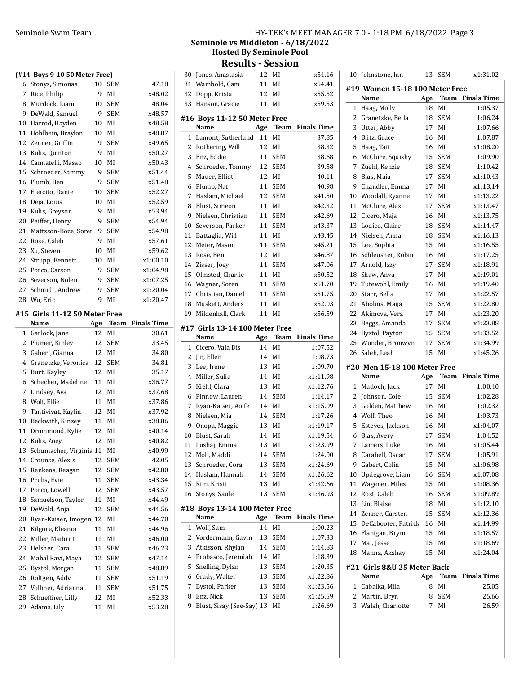$(#14)$ 

|    |                              |    |            |        |    | DCMMOR V9 PM<br><b>Hosted By</b><br>Result |
|----|------------------------------|----|------------|--------|----|--------------------------------------------|
|    | #14 Boys 9-10 50 Meter Free) |    |            |        |    | 30 Jones, Anastasia                        |
|    | 6 Stonys, Simonas            | 10 | <b>SEM</b> | 47.18  |    | 31 Wambold, Cam                            |
| 7  | Rice, Philip                 | 9  | MI         | x48.02 | 32 | Dopp, Krista                               |
| 8  | Murdock, Liam                | 10 | <b>SEM</b> | 48.04  |    | 33 Hanson, Gracie                          |
| 9  | DeWald, Samuel               | 9  | <b>SEM</b> | x48.57 |    |                                            |
| 10 | Harrod, Hayden               | 10 | MI         | x48.58 |    | #16 Boys 11-12 50<br>Name                  |
|    | 11 Hohlbein, Braylon         | 10 | MI         | x48.87 |    | 1 Lamont, Sutherlan                        |
|    | 12 Zenner, Griffin           | 9  | <b>SEM</b> | x49.65 | 2  | Rothering, Will                            |
| 13 | Kulis, Quinton               | 9  | MI         | x50.27 | 3  |                                            |
|    | 14 Cannatelli, Masao         | 10 | MI         | x50.43 | 4  | Enz, Eddie<br>Schroeder, Tommy             |
|    | 15 Schroeder, Sammy          | 9  | <b>SEM</b> | x51.44 | 5  | Mauer, Elliot                              |
|    | 16 Plumb, Ben                | 9  | <b>SEM</b> | x51.48 | 6  | Plumb, Nat                                 |
|    | 17 Ejercito, Dante           | 10 | <b>SEM</b> | x52.27 | 7  | Haslam, Michael                            |
|    | 18 Deja, Louis               | 10 | MI         | x52.59 | 8  | Blust, Simeon                              |
| 19 | Kulis, Greyson               | 9  | MI         | x53.94 | 9  | Nielsen, Christian                         |
| 20 | Peiffer, Henry               | 9  | SEM        | x54.94 | 10 |                                            |
|    | 21 Mattsson-Boze, Sorer      | 9  | <b>SEM</b> | x54.98 | 11 | Severson, Parker                           |
|    | 22 Rose, Caleb               | 9  | MI         | x57.61 |    | Battaglia, Will                            |

| 20 Peiffer, Henry       |    | 9 SEM      | x54.94   |
|-------------------------|----|------------|----------|
| 21 Mattsson-Boze, Sorer | 9  | <b>SEM</b> | x54.98   |
| 22 Rose, Caleb          | 9  | MI         | x57.61   |
| 23 Xu, Steven           | 10 | MI         | x59.62   |
| 24 Strupp, Bennett      | 10 | MI         | x1:00.10 |
| 25 Porco, Carson        |    | 9 SEM      | x1:04.98 |
| 26 Severson, Nolen      |    | 9 SEM      | x1:07.25 |
| 27 Schmidt, Andrew      |    | 9 SEM      | x1:20.04 |
| 28 Wu, Eric             |    | 9 MI       | x1:20.47 |
|                         |    |            |          |

#### #15 Girls 11-12 50 Meter Free

|                | Name                    | Age | Team       | <b>Finals Time</b> |
|----------------|-------------------------|-----|------------|--------------------|
| $\mathbf{1}$   | Garlock, Jane           | 12  | MI         | 30.61              |
| 2              | Plumer, Kinley          | 12  | <b>SEM</b> | 33.45              |
| 3              | Gabert, Gianna          | 12  | MI         | 34.80              |
| $\overline{4}$ | Granetzke, Veronica     | 12  | <b>SEM</b> | 34.81              |
| 5              | Burt, Kayley            | 12  | MI         | 35.17              |
| 6              | Schecher, Madeline      | 11  | MI         | x36.77             |
| 7              | Lindsey, Ava            | 12  | MI         | x37.68             |
| 8              | Wolf, Ellie             | 11  | MI         | x37.86             |
| 9              | Tantivivat, Kaylin      | 12  | MI         | x37.92             |
| 10             | Beckwith, Kinsey        | 11  | MI         | x38.86             |
| 11             | Drummond, Kylie         | 12  | MI         | x40.14             |
| 12             | Kulis, Zoey             | 12  | MI         | x40.82             |
| 13             | Schumacher, Virginia 11 |     | MI         | x40.99             |
| 14             | Crounse, Alexis         | 12  | <b>SEM</b> | 42.05              |
| 15             | Renkens, Reagan         | 12  | <b>SEM</b> | x42.80             |
| 16             | Pruhs, Evie             | 11  | <b>SEM</b> | x43.34             |
| 17             | Porco, Lowell           | 12  | <b>SEM</b> | x43.57             |
| 18             | Samuelson, Taylor       | 11  | MI         | x44.49             |
| 19             | DeWald, Anja            | 12  | <b>SEM</b> | x44.56             |
| 20             | Ryan-Kaiser, Imogen     | 12  | MI         | x44.70             |
| 21             | Kilgore, Eleanor        | 11  | MI         | x44.96             |
| 22             | Miller, Maibritt        | 11  | MI         | x46.00             |
| 23             | Helsher, Cara           | 11  | <b>SEM</b> | x46.23             |
| 24             | Mahal Ravi, Maya        | 12  | SEM        | x47.14             |
| 25             | Bystol, Morgan          | 11  | SEM        | x48.89             |
| 26             | Roltgen, Addy           | 11  | <b>SEM</b> | x51.19             |
| 27             | Vollmer, Adrianna       | 11  | <b>SEM</b> | x51.75             |
| 28             | Schueffner, Lilly       | 12  | MI         | x52.33             |
| 29             | Adams, Lily             | 11  | MI         | x53.28             |

# Seminole Swim Team **HY-TEK's MEET MANAGER 7.0 - 1:18 PM 6/18/2022** Page 3 Seminole vs Middleton - 6/18/2022 **Seminole Pool**

t**s - Session** 12 MI x54.16 11 MI x54.41 12 MI x55.52 11 MI x59.53 **Meter Free** Age Team Finals Time d 11 MI 37.85 12 MI 38.32 11 SEM 38.68 12 SEM 39.58 12 MI 40.11 11 SEM 40.98 12 SEM  $x41.50$ 11 MI x42.32 11 SEM  $x42.69$ 11 SEM x43.37 11 MI x43.45 12 x45.21 Meier, Mason 11 SEM 13 Rose, Ben 12 MI x46.87 14 Zisser, Joey 11 SEM x47.06 15 x50.52 Olmsted, Charlie 11 MI 16 x51.70 Wagner, Soren 11 SEM 17 x51.75 Christian, Daniel 11 SEM 18 x52.03 Muskett, Anders 11 MI 19 x56.59 Mildenhall, Clark 11 MI #17 Girls 13-14 100 Meter Free Name Age Team Finals Time 1 Cicero, Vala Dis 14 MI 1:07.52 2 Jin, Ellen 14 MI 1:08.73

| 3              | Lee, Irene                    | 13  | MI          | 1:09.70            |
|----------------|-------------------------------|-----|-------------|--------------------|
| $\overline{4}$ | Miller, Sulia                 | 14  | MI          | x1:11.98           |
| 5              | Kiehl, Clara                  | 13  | MI          | x1:12.76           |
| 6              | Pinnow, Lauren                | 14  | <b>SEM</b>  | 1:14.17            |
| 7              | Ryan-Kaiser, Aoife            | 14  | MI          | x1:15.09           |
| 8              | Nielsen, Mia                  | 14  | <b>SEM</b>  | 1:17.26            |
| 9              | Onopa, Maggie                 | 13  | MI          | x1:19.17           |
| 10             | Blust, Sarah                  | 14  | MI          | x1:19.54           |
| 11             | Lushaj, Emma                  | 13  | MI          | x1:23.99           |
| 12             | Moll, Maddi                   | 14  | <b>SEM</b>  | 1:24.00            |
| 13             | Schroeder, Cora               | 13  | <b>SEM</b>  | x1:24.69           |
| 14             | Haslam, Hannah                | 14  | <b>SEM</b>  | x1:26.62           |
| 15             | Kim, Kristi                   | 13  | MI          | x1:32.66           |
| 16             | Stonys, Saule                 | 13  | <b>SEM</b>  | x1:36.93           |
|                | #18 Boys 13-14 100 Meter Free |     |             |                    |
|                | Name                          | Age | <b>Team</b> | <b>Finals Time</b> |
| $\mathbf{1}$   | Wolf, Sam                     | 14  | MI          | 1:00.23            |
| 2              | Vordermann, Gavin             | 13  | <b>SEM</b>  | 1:07.33            |
| 3              | Atkisson, Rhylan              | 14  | <b>SEM</b>  | 1:14.83            |
| 4              | Probasco, Jeremiah            | 14  | MI          | 1:18.39            |
| 5              | Snelling, Dylan               | 13  | <b>SEM</b>  | 1:20.35            |
| 6              | Grady, Walter                 | 13  | <b>SEM</b>  | x1:22.86           |
| 7              | Bystol, Parker                | 13  | <b>SEM</b>  | x1:23.56           |
| 8              | Enz, Nick                     | 13  | <b>SEM</b>  | x1:25.59           |

9 1:26.69 Blust, Sisay (See-Say) 13 MI

| 10 | Johnstone, Ian                       | 13       | <b>SEM</b>  | x1:31.02           |
|----|--------------------------------------|----------|-------------|--------------------|
|    | #19 Women 15-18 100 Meter Free       |          |             |                    |
|    | Name                                 | Age      | Team        | <b>Finals Time</b> |
| 1  | Haag, Molly                          | 18       | MI          | 1:05.37            |
| 2  | Granetzke, Bella                     | 18       | <b>SEM</b>  | 1:06.24            |
| 3  | Utter, Abby                          | 17       | MI          | 1:07.66            |
| 4  | Blitz, Grace                         | 16       | MI          | 1:07.87            |
| 5  | Haag, Tait                           | 16       | MI          | x1:08.20           |
| 6  | McClure, Squishy                     | 15       | SEM         | 1:09.90            |
| 7  | Zuehl, Kenzie                        | 18       | SEM         | 1:10.42            |
| 8  | Blas, Maia                           | 17       | <b>SEM</b>  | x1:10.43           |
| 9  | Chandler, Emma                       | 17       | MI          | x1:13.14           |
| 10 | Woodall, Ryanne                      | 17       | MI          | x1:13.22           |
| 11 | McClure, Alex                        | 17       | <b>SEM</b>  | x1:13.47           |
| 12 | Cicero, Maja                         | 16       | MI          | x1:13.75           |
| 13 | Lodico, Claire                       | 18       | SEM         | x1:14.47           |
| 14 | Nielsen, Anna                        | 18       | <b>SEM</b>  | x1:16.13           |
| 15 | Lee, Sophia                          | 15       | MI          | x1:16.55           |
| 16 | Schleusner, Robin                    | 16       | MI          | x1:17.25           |
| 17 | Arnold, Izzy                         | 17       | <b>SEM</b>  | x1:18.91           |
| 18 | Shaw, Anya                           | 17       | MI          | x1:19.01           |
| 19 | Tutewohl, Emily                      | 16       | MI          | x1:19.40           |
| 20 | Starr, Bella                         | 17       | MI          | x1:22.57           |
| 21 | Abolins, Maija                       | 15       | <b>SEM</b>  | x1:22.80           |
| 22 | Akimova, Vera                        | 17       | MI          | x1:23.20           |
| 23 | Beggs, Amanda                        | 17       | <b>SEM</b>  | x1:23.88           |
| 24 | Bystol, Payton                       | 15       | SEM         | x1:33.52           |
| 25 | Wunder, Bronwyn                      | 17       | <b>SEM</b>  | x1:34.99           |
| 26 | Saleh, Leah                          | 15       | MI          | x1:45.26           |
|    | #20 Men 15-18 100 Meter Free         |          |             |                    |
|    | Name                                 | Age      | <b>Team</b> | <b>Finals Time</b> |
| 1  | Madoch, Jack                         | 17       | MI          | 1:00.40            |
| 2  | Johnson, Cole                        | 15       | <b>SEM</b>  | 1:02.28            |
| 3  | Golden, Matthew                      | 16       | MI          | 1:02.32            |
| 4  | Wolf, Theo                           | 16       | MI          | 1:03.73            |
| 5  | Esteves, Jackson                     | 16       | MI          | x1:04.07           |
| 6  | Blas, Avery                          | 17       | <b>SEM</b>  | 1:04.52            |
| 7  | Lamers, Luke                         | 16       | MI          | x1:05.44           |
| 8  | Carabell, Oscar                      | 17       | <b>SEM</b>  | 1:05.91            |
| 9  | Gabert, Colin                        | 15       | MI          | x1:06.98           |
| 10 | Updegrove, Liam                      | 16       | SEM         | x1:07.08           |
| 11 | Wagener, Miles                       | 15       | MI          | x1:08.36           |
| 12 | Rost, Caleb                          | 16       | SEM         | x1:09.89           |
| 13 | Lin, Blaise                          | 18       |             | x1:12.10           |
| 14 |                                      |          | MI          |                    |
|    | Zenner, Carsten                      | 15       | <b>SEM</b>  | x1:12.36           |
| 15 | DeCabooter, Patrick                  | 16       | MI          | x1:14.99           |
| 16 | Flanigan, Brynn                      | 15       | MI          | x1:18.57           |
| 17 | Mai, Jesse                           | 15       | MI          | x1:18.69           |
| 18 | Manna, Akshay                        | 15       | MI          | x1:24.04           |
|    |                                      |          |             |                    |
|    | #21  Girls 8&U 25 Meter Back<br>Name |          | Team        | <b>Finals Time</b> |
| 1  | Cabalka, Mila                        | Age<br>8 | MI          | 25.05              |
| 2  | Martin, Bryn                         | 8        | <b>SEM</b>  | 25.66              |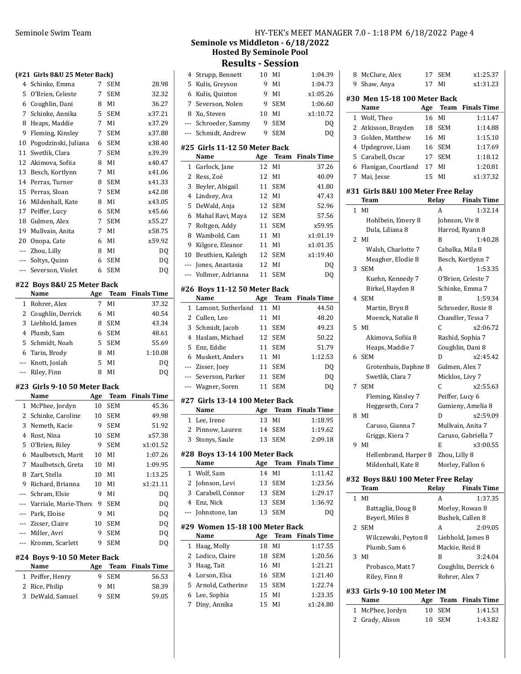#### (#21 Girls 8&U 25 Meter Back)

|       | 1421 UIITS OQU 45 METER DATKI |   |            |        |
|-------|-------------------------------|---|------------|--------|
|       | 4 Schinke, Emma               | 7 | <b>SEM</b> | 28.98  |
| 5     | O'Brien, Celeste              | 7 | <b>SEM</b> | 32.32  |
| 6     | Coughlin, Dani                | 8 | MI         | 36.27  |
| 7     | Schinke, Annika               | 5 | <b>SEM</b> | x37.21 |
| 8     | Heaps, Maddie                 | 7 | MI         | x37.29 |
| 9     | Fleming, Kinsley              | 7 | <b>SEM</b> | x37.88 |
| 10    | Pogodzinski, Juliana          | 6 | <b>SEM</b> | x38.40 |
| 11    | Swetlik, Clara                | 7 | <b>SEM</b> | x39.39 |
| 12    | Akimova, Sofiia               | 8 | MI         | x40.47 |
| 13    | Besch, Kortlynn               | 7 | MI         | x41.06 |
| 14    | Perras, Turner                | 8 | SEM        | x41.33 |
| 15    | Perras, Sloan                 | 7 | <b>SEM</b> | x42.08 |
| 16    | Mildenhall, Kate              | 8 | MI         | x43.05 |
| 17    | Peiffer, Lucy                 | 6 | <b>SEM</b> | x45.66 |
| 18    | Gulmen, Alex                  | 7 | <b>SEM</b> | x55.27 |
| 19    | Mullvain, Anita               | 7 | MI         | x58.75 |
| 20    | Onopa, Cate                   | 6 | MI         | x59.92 |
| $---$ | Zhou, Lilly                   | 8 | MI         | DQ     |
| $---$ | Soltys, Quinn                 | 6 | <b>SEM</b> | DQ     |
|       | Severson, Violet              | 6 | SEM        | DQ     |
|       |                               |   |            |        |

#### #22 Boys 8&U 25 Meter Back

 $\overline{a}$ 

| Name                | Age |            | <b>Team</b> Finals Time |
|---------------------|-----|------------|-------------------------|
| 1 Rohrer, Alex      |     | МI         | 37.32                   |
| 2 Coughlin, Derrick | 6   | MI         | 40.54                   |
| 3 Liebhold, James   | 8   | <b>SEM</b> | 43.34                   |
| 4 Plumb, Sam        | 6   | <b>SEM</b> | 48.61                   |
| 5 Schmidt, Noah     |     | 5 SEM      | 55.69                   |
| 6 Tarin, Brody      | 8   | MI         | 1:10.08                 |
| --- Knott, Josiah   | 5   | MI         | DO                      |
| --- Riley, Finn     | 8   | МI         | DO.                     |

#### #23 Girls 9-10 50 Meter Back

|     | Name                  | Age | Team       | <b>Finals Time</b> |
|-----|-----------------------|-----|------------|--------------------|
| 1   | McPhee, Jordyn        | 10  | <b>SEM</b> | 45.36              |
| 2   | Schinke, Caroline     | 10  | SEM        | 49.98              |
| 3   | Nemeth, Kacie         | 9   | SEM        | 51.92              |
| 4   | Rost, Nina            | 10  | <b>SEM</b> | x57.38             |
| 5   | O'Brien, Riley        | 9   | <b>SEM</b> | x1:01.52           |
| 6   | Maulbetsch, Marit     | 10  | МI         | 1:07.26            |
| 7   | Maulbetsch, Greta     | 10  | MI         | 1:09.95            |
| 8   | Zart, Stella          | 10  | MI         | 1:13.25            |
| 9   | Richard, Brianna      | 10  | MI         | x1:21.11           |
| --- | Schram, Elsie         | 9   | МI         | DQ                 |
| --- | Varriale, Marie-There | 9   | <b>SEM</b> | DQ                 |
| --- | Park, Eloise          | 9   | ΜI         | DO                 |
| --- | Zisser, Claire        | 10  | <b>SEM</b> | DO                 |
| --- | Miller, Avri          | 9   | SEM        | DO                 |
| --- | Kromm, Scarlett       | 9   | <b>SEM</b> | DO                 |
|     |                       |     |            |                    |

## #24 Boys 9-10 50 Meter Back

| Name             |       | Age Team Finals Time |
|------------------|-------|----------------------|
| 1 Peiffer, Henry | 9 SEM | 56.53                |
| 2 Rice, Philip   | 9 MI  | 58.39                |
| 3 DeWald, Samuel | 9 SEM | 59.05                |
|                  |       |                      |

# Seminole Swim Team HY-TEK's MEET MANAGER 7.0 - 1:18 PM 6/18/2022 Page 4 Seminole vs Middleton - 6/18/2022

# Hosted By Seminole Pool Results - Session

| 4            | Strupp, Bennett                | 10       | MI         | 1:04.39             |
|--------------|--------------------------------|----------|------------|---------------------|
| 5            | Kulis, Greyson                 | 9        | MI         | 1:04.73             |
| 6            | Kulis, Quinton                 | 9        | MI         | x1:05.26            |
| 7            | Severson, Nolen                | 9        | <b>SEM</b> | 1:06.60             |
| 8            | Xu, Steven                     | 10       | MI         | x1:10.72            |
| ---          | Schroeder, Sammy               | 9        | <b>SEM</b> | DQ                  |
| ---          | Schmidt, Andrew                | 9        | <b>SEM</b> | DQ                  |
|              | #25 Girls 11-12 50 Meter Back  |          |            |                     |
|              | Name                           | Age      | Team       | <b>Finals Time</b>  |
| 1            | Garlock, Jane                  | 12       | MI         | 37.26               |
| 2            | Ress, Zoë                      | 12       | MI         | 40.09               |
| 3            | Beyler, Abigail                | 11       | <b>SEM</b> | 41.80               |
| 4            | Lindsey, Ava                   | 12       | MI         | 47.43               |
| 5            | DeWald, Anja                   | 12       | <b>SEM</b> | 52.96               |
| 6            | Mahal Ravi, Maya               | 12       | <b>SEM</b> | 57.56               |
| 7            | Roltgen, Addy                  | 11       | SEM        | x59.95              |
| 8            | Wambold, Cam                   | 11       | MI         | x1:01.19            |
| 9            | Kilgore, Eleanor               | 11       | MI         | x1:01.35            |
| 10           | Beuthien, Kaleigh              | 12       | SEM        | x1:19.40            |
| ---          | Jones, Anastasia               | 12       | MI         | DQ                  |
| ---          | Vollmer, Adrianna              | 11       | <b>SEM</b> | DQ                  |
|              |                                |          |            |                     |
|              | #26 Boys 11-12 50 Meter Back   |          |            |                     |
|              | Name                           |          | Age Team   | <b>Finals Time</b>  |
| 1            | Lamont, Sutherland             | 11       | MI         | 44.50               |
| 2            | Cullen, Leo                    | 11       | MI         | 48.20               |
| 3            | Schmidt, Jacob                 | 11       | <b>SEM</b> | 49.23               |
| 4            | Haslam, Michael                | 12       | <b>SEM</b> | 50.22               |
| 5            | Enz, Eddie                     | 11       | <b>SEM</b> | 51.79               |
| 6            | Muskett, Anders                | 11       | MI         | 1:12.53             |
|              | --- Zisser, Joey               | 11       | SEM        | DQ                  |
| ---          | Severson, Parker               | 11       | <b>SEM</b> | DQ                  |
| ---          | Wagner, Soren                  | 11       | <b>SEM</b> | DQ                  |
|              | #27 Girls 13-14 100 Meter Back |          |            |                     |
|              | Name                           |          | Age Team   | <b>Finals Time</b>  |
| $\mathbf{1}$ | Lee, Irene                     | 13       | MI         | 1:18.95             |
| 2            | Pinnow, Lauren                 | 14       | SEM        | 1:19.62             |
| 3            | Stonys, Saule                  | 13       | <b>SEM</b> | 2:09.18             |
|              | #28 Boys 13-14 100 Meter Back  |          |            |                     |
|              | Name                           | Age      | Team       | <b>Finals Time</b>  |
| 1            | Wolf, Sam                      | 14       | MI         | 1:11.42             |
| 2            | Johnson, Levi                  | 13       | <b>SEM</b> | 1:23.56             |
|              | 3 Carabell, Connor             | 13       | <b>SEM</b> | 1:29.17             |
|              | 4 Enz, Nick                    | 13       | SEM        | 1:36.92             |
| ---          | Johnstone, Ian                 | 13       | SEM        | D <sub>0</sub>      |
|              |                                |          |            |                     |
|              |                                |          |            |                     |
|              | #29 Women 15-18 100 Meter Back |          |            |                     |
|              | Name                           | Age      | Team       | <b>Finals Time</b>  |
| 1            | Haag, Molly                    | 18       | MI         | 1:17.55             |
| 2            | Lodico, Claire                 | 18       | SEM        | 1:20.56             |
| 3            | Haag, Tait                     | 16       | MI         | 1:21.21             |
| 4            | Lorson, Elsa                   | 16       | <b>SEM</b> | 1:21.40             |
| 5            | Arnold, Catherine              | 15       | <b>SEM</b> | 1:22.74             |
| 6<br>7       | Lee, Sophia<br>Diny, Annika    | 15<br>15 | MI<br>MI   | 1:23.35<br>x1:24.80 |

| 8            | McClure, Alex                      | 17    | SEM             | x1:25.37                      |
|--------------|------------------------------------|-------|-----------------|-------------------------------|
| 9            | Shaw, Anya                         | 17    | MI              | x1:31.23                      |
|              |                                    |       |                 |                               |
|              | #30 Men 15-18 100 Meter Back       |       |                 |                               |
|              | Name                               | Age   | <b>Team</b>     | <b>Finals Time</b>            |
| $\mathbf{1}$ | Wolf, Theo                         | 16 MI |                 | 1:11.47                       |
|              | 2 Atkisson, Brayden                | 18    | SEM             | 1:14.88                       |
|              | 3 Golden, Matthew                  | 16 MI |                 | 1:15.10                       |
|              | 4 Updegrove, Liam                  |       | 16 SEM          | 1:17.69                       |
|              | 5 Carabell, Oscar                  |       | 17 SEM          | 1:18.12                       |
|              | 6 Flanigan, Courtland              | 17    | MI              | 1:20.81                       |
| 7            | Mai, Jesse                         | 15    | MI              | x1:37.32                      |
|              | #31 Girls 8&U 100 Meter Free Relay |       |                 |                               |
|              | Team                               |       | Relay           | <b>Finals Time</b>            |
| 1            | MI                                 |       | A               | 1:32.14                       |
|              | Hohlbein, Emery 8                  |       | Johnson, Viv 8  |                               |
|              | Dula, Liliana 8                    |       |                 | Harrod, Ryann 8               |
|              | 2 MI                               |       | B               | 1:40.28                       |
|              | Walsh, Charlotte 7                 |       |                 | Cabalka, Mila 8               |
|              | Meagher, Elodie 8                  |       |                 | Besch, Kortlynn 7             |
| 3            | <b>SEM</b>                         |       | A               | 1:53.35                       |
|              | Kuehn, Kennedy 7                   |       |                 | O'Brien, Celeste 7            |
|              | Birkel, Hayden 8                   |       |                 | Schinke, Emma 7               |
|              | 4 SEM                              |       | B               | 1:59.34                       |
|              |                                    |       |                 | Schroeder, Rosie 8            |
|              | Martin, Bryn 8                     |       |                 |                               |
|              | Moenck, Natalie 8<br>5 MI          |       | C               | Chandler, Tessa 7<br>x2:06.72 |
|              |                                    |       |                 |                               |
|              | Akimova, Sofiia 8                  |       |                 | Rashid, Sophia 7              |
|              | Heaps, Maddie 7                    |       |                 | Coughlin, Dani 8              |
| 6            | <b>SEM</b>                         |       | D               | x2:45.42                      |
|              | Grotenhuis, Daphne 8               |       |                 | Gulmen, Alex 7                |
|              | Swetlik, Clara 7                   |       | Micklos, Livy 7 |                               |
| 7            | <b>SEM</b>                         |       | C               | x2:55.63                      |
|              | Fleming, Kinsley 7                 |       | Peiffer, Lucy 6 |                               |
|              | Heggeseth, Cora 7                  |       |                 | Gumieny, Amelia 8             |
| 8            | MI                                 |       | D               | x2:59.09                      |
|              | Caruso, Gianna 7                   |       |                 | Mullvain, Anita 7             |
|              | Griggs, Kiera 7                    |       |                 | Caruso, Gabriella 7           |
| 9            | MI                                 |       | E               | x3:00.55                      |
|              | Hellenbrand, Harper 8              |       | Zhou, Lilly 8   |                               |
|              | Mildenhall, Kate 8                 |       |                 | Morley, Fallon 6              |
|              | #32 Boys 8&U 100 Meter Free Relay  |       |                 |                               |
|              | Team                               |       | Relay           | <b>Finals Time</b>            |
| 1            | MI                                 |       | A               | 1:37.35                       |
|              | Battaglia, Doug 8                  |       |                 | Morley, Rowan 8               |
|              | Beyerl, Miles 8                    |       |                 | Bushek, Callen 8              |
| 2            | <b>SEM</b>                         |       | A               | 2:09.05                       |
|              | Wilczewski, Peyton 8               |       |                 | Liebhold, James 8             |
|              | Plumb, Sam 6                       |       | Mackie, Reid 8  |                               |
| 3            | MI                                 |       | B               | 3:24.04                       |
|              | Probasco, Matt 7                   |       |                 | Coughlin, Derrick 6           |
|              | Riley, Finn 8                      |       | Rohrer, Alex 7  |                               |
|              | Λ1                                 |       |                 |                               |

#### #33 Girls 9-10 100 Meter IM

|  | <b>Name</b>      | Age |        | Team Finals Time |
|--|------------------|-----|--------|------------------|
|  | 1 McPhee, Jordyn |     | 10 SEM | 1:41.53          |
|  | 2 Grady, Alison  |     | 10 SEM | 1:43.82          |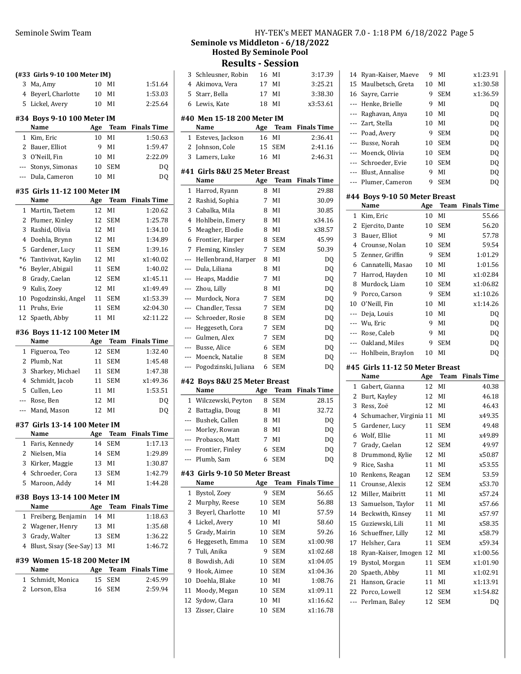|              | (#33 Girls 9-10 100 Meter IM)  |     |            |                    |
|--------------|--------------------------------|-----|------------|--------------------|
| 3<br>4       | Ma, Amy<br>Beyerl, Charlotte   | 10  | MI         | 1:51.64<br>1:53.03 |
| 5            |                                | 10  | MI<br>MI   | 2:25.64            |
|              | Lickel, Avery                  | 10  |            |                    |
|              | #34 Boys 9-10 100 Meter IM     |     |            |                    |
|              | Name                           | Age | Team       | <b>Finals Time</b> |
| 1            | Kim, Eric                      | 10  | MI         | 1:50.63            |
|              | 2 Bauer, Elliot                | 9   | MI         | 1:59.47            |
| 3            | O'Neill, Fin                   | 10  | MI         | 2:22.09            |
| ---          | Stonys, Simonas                | 10  | <b>SEM</b> | DQ                 |
| ---          | Dula, Cameron                  | 10  | MI         | DO.                |
|              | #35  Girls 11-12 100 Meter IM  |     |            |                    |
|              | Name                           | Age | Team       | <b>Finals Time</b> |
| 1            | Martin, Taetem                 | 12  | MI         | 1:20.62            |
| 2            | Plumer, Kinley                 | 12  | <b>SEM</b> | 1:25.78            |
| 3            | Rashid, Olivia                 | 12  | MI         | 1:34.10            |
| 4            | Doehla, Brynn                  | 12  | MI         | 1:34.89            |
| 5            | Gardener, Lucy                 | 11  | SEM        | 1:39.16            |
| *6           | Tantivivat, Kaylin             | 12  | MI         | x1:40.02           |
| *6           | Beyler, Abigail                | 11  | <b>SEM</b> | 1:40.02            |
| 8            | Grady, Caelan                  | 12  | SEM        | x1:45.11           |
| 9            | Kulis, Zoey                    | 12  | MI         | x1:49.49           |
| 10           | Pogodzinski, Angel             | 11  | SEM        | x1:53.39           |
| 11           | Pruhs, Evie                    | 11  | SEM        | x2:04.30           |
| 12           | Spaeth, Abby                   | 11  | MI         | x2:11.22           |
|              | #36 Boys 11-12 100 Meter IM    |     |            |                    |
|              | Name                           | Age | Team       | <b>Finals Time</b> |
|              |                                |     |            |                    |
| 1            | Figueroa, Teo                  | 12  | SEM        | 1:32.40            |
| 2            | Plumb, Nat                     | 11  | SEM        | 1:45.48            |
| 3            | Sharkey, Michael               | 11  | SEM        | 1:47.38            |
| 4            | Schmidt, Jacob                 | 11  | SEM        | x1:49.36           |
| 5            | Cullen, Leo                    | 11  | MI         | 1:53.51            |
| ---          | Rose, Ben                      | 12  | MI         | DQ                 |
|              | --- Mand, Mason                | 12  | MI         | DQ                 |
|              | #37 Girls 13-14 100 Meter IM   |     |            |                    |
|              | Name                           | Age | Team       | <b>Finals Time</b> |
|              | 1 Faris, Kennedy               | 14  | <b>SEM</b> | 1:17.13            |
|              | 2 Nielsen, Mia                 | 14  | <b>SEM</b> | 1:29.89            |
| 3            | Kirker, Maggie                 | 13  | MI         | 1:30.87            |
|              | 4 Schroeder, Cora              | 13  | <b>SEM</b> | 1:42.79            |
| 5            | Maroon, Addy                   | 14  | MI         | 1:44.28            |
|              | #38 Boys 13-14 100 Meter IM    |     |            |                    |
|              | Name                           | Age | Team       | <b>Finals Time</b> |
| 1            | Freiberg, Benjamin             | 14  | MI         | 1:18.63            |
| 2            | Wagener, Henry                 | 13  | MI         | 1:35.68            |
| 3            | Grady, Walter                  | 13  | <b>SEM</b> | 1:36.22            |
|              | 4 Blust, Sisay (See-Say) 13 MI |     |            | 1:46.72            |
|              | #39 Women 15-18 200 Meter IM   |     |            |                    |
|              | Name                           |     | Age Team   | <b>Finals Time</b> |
| $\mathbf{1}$ | Schmidt, Monica                | 15  | SEM        | 2:45.99            |
| 2            | Lorson, Elsa                   | 16  | SEM        | 2:59.94            |

# Seminole Swim Team HY-TEK's MEET MANAGER 7.0 - 1:18 PM 6/18/2022 Page 5 Seminole vs Middleton - 6/18/2022 Hosted By Seminole Pool

Results - Session

|              | Results - Session              |     |             |                    |
|--------------|--------------------------------|-----|-------------|--------------------|
| 3            | Schleusner, Robin              | 16  | MI          | 3:17.39            |
| 4            | Akimova, Vera                  | 17  | MI          | 3:25.21            |
| 5            | Starr, Bella                   | 17  | MI          | 3:38.30            |
| 6            | Lewis, Kate                    | 18  | MI          | x3:53.61           |
|              |                                |     |             |                    |
|              | #40 Men 15-18 200 Meter IM     |     |             |                    |
|              | Name                           | Age | Team        | <b>Finals Time</b> |
| 1            | Esteves, Jackson               | 16  | MI          | 2:36.41            |
| 2            | Johnson, Cole                  | 15  | <b>SEM</b>  | 2:41.16            |
| 3            | Lamers, Luke                   | 16  | MI          | 2:46.31            |
|              | #41  Girls 8&U 25 Meter Breast |     |             |                    |
|              | Name                           | Age | Team        | <b>Finals Time</b> |
| 1            | Harrod, Ryann                  | 8   | MI          | 29.88              |
| 2            | Rashid, Sophia                 | 7   | MI          | 30.09              |
| 3            | Cabalka, Mila                  | 8   | MI          | 30.85              |
| 4            | Hohlbein, Emery                | 8   | MI          | x34.16             |
| 5            | Meagher, Elodie                | 8   | MI          | x38.57             |
| 6            | Frontier, Harper               | 8   | <b>SEM</b>  | 45.99              |
| 7            | Fleming, Kinsley               | 7   | <b>SEM</b>  | 50.39              |
| ---          | Hellenbrand, Harper            | 8   | MI          | D <sub>0</sub>     |
| ---          | Dula, Liliana                  | 8   | MI          | DQ                 |
| ---          | Heaps, Maddie                  | 7   | MI          | DQ                 |
| $---$        | Zhou, Lilly                    | 8   | MI          |                    |
| ---          | Murdock, Nora                  | 7   | SEM         | DQ                 |
|              |                                | 7   | <b>SEM</b>  | DQ                 |
| ---          | Chandler, Tessa                |     |             | DQ                 |
| ---          | Schroeder, Rosie               | 8   | <b>SEM</b>  | DQ                 |
| ---          | Heggeseth, Cora                | 7   | <b>SEM</b>  | DQ                 |
| ---          | Gulmen, Alex                   | 7   | <b>SEM</b>  | DQ                 |
| ---          | Busse, Alice                   | 6   | <b>SEM</b>  | DQ                 |
| ---          | Moenck, Natalie                | 8   | <b>SEM</b>  | DQ                 |
| ---          | Pogodzinski, Juliana           | 6   | <b>SEM</b>  | DQ                 |
|              | #42 Boys 8&U 25 Meter Breast   |     |             |                    |
|              | Name                           | Age | <b>Team</b> | <b>Finals Time</b> |
| $\mathbf{1}$ | Wilczewski, Peyton             | 8   | <b>SEM</b>  | 28.15              |
| $\mathbf{2}$ | Battaglia, Doug                | 8   | MI          | 32.72              |
| $---$        | Bushek, Callen                 | 8   | MI          | DQ                 |
| ---          | Morley, Rowan                  | 8   | MI          | DQ                 |
| ---          | Probasco, Matt                 | 7   | MI          | DQ                 |
|              | Frontier, Finley               | 6   | SEM         | DQ                 |
|              | Plumb, Sam                     | 6   | SEM         | DQ                 |
|              |                                |     |             |                    |
|              | #43 Girls 9-10 50 Meter Breast |     |             |                    |
|              | Name                           | Age | Team        | <b>Finals Time</b> |
| 1            | Bystol, Zoey                   | 9   | SEM         | 56.65              |
| 2            | Murphy, Reese                  | 10  | SEM         | 56.88              |
| 3            | Beyerl, Charlotte              | 10  | MI          | 57.59              |
| 4            | Lickel, Avery                  | 10  | MI          | 58.60              |
| 5            | Grady, Mairin                  | 10  | SEM         | 59.26              |
| 6            | Heggeseth, Emma                | 10  | SEM         | x1:00.98           |
| 7            | Tuli, Anika                    | 9   | SEM         | x1:02.68           |
| 8            | Bowdish, Adi                   | 10  | SEM         | x1:04.05           |
| 9            | Hook, Aimee                    | 10  | SEM         | x1:04.36           |
| 10           | Doehla, Blake                  | 10  | MI          | 1:08.76            |
| 11           | Moody, Megan                   | 10  | SEM         | x1:09.11           |
| 12           | Sydow, Clara                   | 10  | MI          | x1:16.62           |
| 13           | Zisser, Claire                 | 10  | SEM         | x1:16.78           |
|              |                                |     |             |                    |

| 14             | Ryan-Kaiser, Maeve                    | 9        | MI         | x1:23.91           |
|----------------|---------------------------------------|----------|------------|--------------------|
| 15             | Maulbetsch, Greta                     | 10       | MI         | x1:30.58           |
| 16             | Sayre, Carrie                         | 9        | SEM        | x1:36.59           |
| ---            | Henke, Brielle                        | 9        | MI         | DQ                 |
| ---            | Raghavan, Anya                        | 10       | MI         | DQ                 |
| ---            | Zart, Stella                          | 10       | MI         | DQ                 |
| ---            | Poad, Avery                           | 9        | <b>SEM</b> | DQ                 |
| ---            | Busse, Norah                          | 10       | <b>SEM</b> | DQ                 |
| ---            | Moenck, Olivia                        | 10       | <b>SEM</b> | DQ                 |
| ---            | Schroeder, Evie                       | 10       | <b>SEM</b> | DQ                 |
| ---            | Blust, Annalise                       | 9        | MI         | DQ                 |
| ---            | Plumer, Cameron                       | 9        | <b>SEM</b> | DQ                 |
|                |                                       |          |            |                    |
|                | #44 Boys 9-10 50 Meter Breast<br>Name | Age      | Team       | <b>Finals Time</b> |
| $\mathbf{1}$   | Kim, Eric                             | 10       | MI         | 55.66              |
| 2              | Ejercito, Dante                       | 10       | <b>SEM</b> | 56.20              |
| 3              | Bauer, Elliot                         | 9        | MI         | 57.78              |
| 4              | Crounse, Nolan                        | 10       | <b>SEM</b> | 59.54              |
| 5              | Zenner, Griffin                       | 9        | <b>SEM</b> | 1:01.29            |
| 6              | Cannatelli, Masao                     | 10       | MI         | 1:01.56            |
| 7              | Harrod, Hayden                        | 10       | MI         | x1:02.84           |
| 8              | Murdock, Liam                         | 10       | SEM        | x1:06.82           |
| 9              | Porco, Carson                         | 9        | <b>SEM</b> | x1:10.26           |
| 10             | O'Neill, Fin                          | 10       | MI         | x1:14.26           |
| $\overline{a}$ | Deja, Louis                           | 10       | MI         | DQ                 |
| ---            | Wu, Eric                              | 9        | MI         | DQ                 |
| ---            | Rose, Caleb                           | 9        | MI         | DQ                 |
|                |                                       |          |            |                    |
|                |                                       |          |            |                    |
| ---            | Oakland, Miles                        | 9        | SEM        | DQ                 |
| ---            | Hohlbein, Braylon                     | 10       | MI         | DQ                 |
|                | #45 Girls 11-12 50 Meter Breast       |          |            |                    |
|                | Name                                  | Age      | Team       | <b>Finals Time</b> |
| 1              | Gabert, Gianna                        | 12       | MI         | 40.38              |
| 2              | Burt, Kayley                          | 12       | MI         | 46.18              |
| 3              | Ress, Zoë                             | 12       | MI         | 46.43              |
| 4              | Schumacher, Virginia 11               |          | MI         | x49.35             |
| 5              | Gardener, Lucy                        | 11       | <b>SEM</b> | 49.48              |
| 6              | Wolf, Ellie                           | 11       | MI         | x49.89             |
| 7              | Grady, Caelan                         | 12       | <b>SEM</b> | 49.97              |
| 8              | Drummond, Kylie                       | 12       | MI         | x50.87             |
| 9              | Rice, Sasha                           | 11       | MI         | x53.55             |
| 10             | Renkens, Reagan                       | 12       | <b>SEM</b> | 53.59              |
| 11             | Crounse, Alexis                       | 12       | SEM        | x53.70             |
| 12             | Miller, Maibritt                      | 11       | MI         | x57.24             |
| 13             | Samuelson, Taylor                     | 11       | MI         | x57.66             |
| 14             | Beckwith, Kinsey                      | 11       | MI         | x57.97             |
| 15             | Guziewski, Lili                       | 11       | MI         | x58.35             |
| 16             | Schueffner, Lilly                     | 12       | MI         | x58.79             |
| 17             | Helsher, Cara                         | 11       | SEM        | x59.34             |
| 18             | Ryan-Kaiser, Imogen                   | 12       | MI         | x1:00.56           |
| 19             | Bystol, Morgan                        | 11       | SEM        | x1:01.90           |
| 20             | Spaeth, Abby                          | 11       | MI         | x1:02.91           |
| 21             | Hanson, Gracie                        | 11       | MI         | x1:13.91           |
| 22<br>---      | Porco, Lowell<br>Perlman, Baley       | 12<br>12 | SEM<br>SEM | x1:54.82<br>DQ     |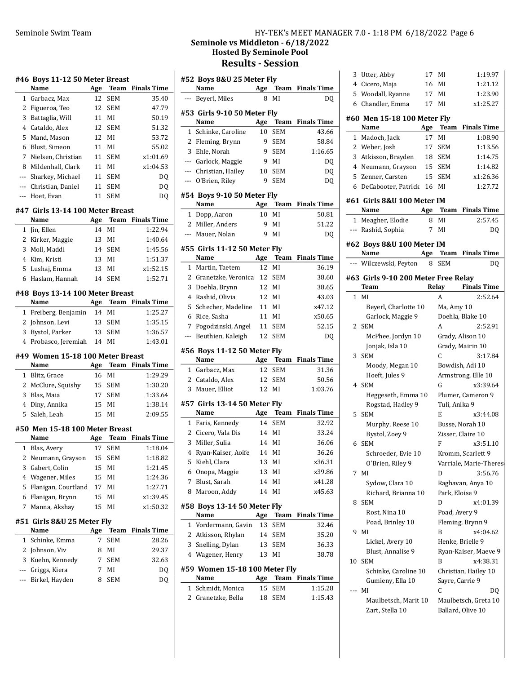# Seminole Swim Team **HY-TEK's MEET MANAGER 7.0 - 1:18 PM 6/18/2022** Page 6 Seminole vs Middleton - 6/18/2022 Hosted By Seminole Pool Results - Session

|     | #46  Boys 11-12 50 Meter Breast         |     |                 |                         |
|-----|-----------------------------------------|-----|-----------------|-------------------------|
|     | Name                                    | Age | Team            | <b>Finals Time</b>      |
| 1   | Garbacz, Max                            | 12  | SEM             | 35.40                   |
| 2   | Figueroa, Teo                           | 12  | <b>SEM</b>      | 47.79                   |
| 3   | Battaglia, Will                         | 11  | MI              | 50.19                   |
|     | 4 Cataldo, Alex                         | 12  | <b>SEM</b>      | 51.32                   |
| 5   | Mand, Mason                             |     | 12 MI           | 53.72                   |
| 6   | Blust, Simeon                           | 11  | MI              | 55.02                   |
| 7   | Nielsen, Christian                      | 11  | SEM             | x1:01.69                |
|     | 8 Mildenhall, Clark                     | 11  | MI              | x1:04.53                |
|     | --- Sharkey, Michael                    | 11  | SEM             | DQ                      |
| --- | Christian, Daniel                       | 11  | <b>SEM</b>      | DQ                      |
| --- | Hoet, Evan                              | 11  | <b>SEM</b>      | DQ                      |
|     | #47 Girls 13-14 100 Meter Breast        |     |                 |                         |
|     | Name                                    | Age | Team            | <b>Finals Time</b>      |
| 1   | Jin, Ellen                              | 14  | MI              | 1:22.94                 |
|     | 2 Kirker, Maggie                        |     | 13 MI           | 1:40.64                 |
| 3   | Moll, Maddi                             |     | 14 SEM          | 1:45.56                 |
|     | 4 Kim, Kristi                           |     | 13 MI           | 1:51.37                 |
| 5   | Lushaj, Emma                            | 13  | MI              | x1:52.15                |
|     | 6 Haslam, Hannah                        | 14  | SEM             | 1:52.71                 |
|     |                                         |     |                 |                         |
|     | #48 Boys 13-14 100 Meter Breast<br>Name |     | Age Team        | <b>Finals Time</b>      |
| 1   | Freiberg, Benjamin                      | 14  | MI              | 1:25.27                 |
|     | 2 Johnson, Levi                         | 13  | SEM             | 1:35.15                 |
|     | 3 Bystol, Parker                        |     | 13 SEM          | 1:36.57                 |
|     | 4 Probasco, Jeremiah                    |     | 14 MI           | 1:43.01                 |
|     |                                         |     |                 |                         |
|     |                                         |     |                 |                         |
|     | #49 Women 15-18 100 Meter Breast        |     |                 |                         |
|     | Name                                    | Age |                 | <b>Team</b> Finals Time |
|     | 1 Blitz, Grace                          | 16  | MI              | 1:29.29                 |
|     | 2 McClure, Squishy                      | 15  | SEM             | 1:30.20                 |
| 3   | Blas, Maia                              |     | 17 SEM          | 1:33.64                 |
|     | 4 Diny, Annika                          | 15  | MI              | 1:38.14                 |
| 5   | Saleh, Leah                             | 15  | MI              | 2:09.55                 |
|     | #50 Men 15-18 100 Meter Breast          |     |                 |                         |
|     | Name                                    |     |                 | <b>Finals Time</b>      |
| 1   |                                         | 17  | Age Team<br>SEM |                         |
| 2   | Blas, Avery<br>Neumann, Grayson         | 15  | SEM             | 1:18.04<br>1:18.82      |
| 3   |                                         | 15  | MI              | 1:21.45                 |
| 4   | Gabert, Colin                           | 15  | MI              | 1:24.36                 |
| 5   | Wagener, Miles<br>Flanigan, Courtland   | 17  | MI              | 1:27.71                 |
| 6   |                                         | 15  | MI              | x1:39.45                |
| 7   | Flanigan, Brynn                         | 15  | MI              | x1:50.32                |
|     | Manna, Akshay                           |     |                 |                         |
|     | #51 Girls 8&U 25 Meter Fly              |     |                 |                         |
|     | Name                                    | Age | Team            | <b>Finals Time</b>      |
| 1   | Schinke, Emma                           | 7   | <b>SEM</b>      | 28.26                   |
| 2   | Johnson, Viv                            | 8   | MI              | 29.37                   |
| 3   | Kuehn, Kennedy                          | 7   | SEM             | 32.63                   |
| --- | Griggs, Kiera                           | 7   | MI              | DQ                      |
| --- | Birkel, Hayden                          | 8   | SEM             | DQ                      |

|              | #52 Boys 8&U 25 Meter Fly           |          |                   |                         |
|--------------|-------------------------------------|----------|-------------------|-------------------------|
|              | Name                                | Age      |                   | <b>Team</b> Finals Time |
| ---          | Beyerl, Miles                       | 8        | MI                | DQ                      |
|              | #53 Girls 9-10 50 Meter Fly         |          |                   |                         |
|              | Name                                | Age      | Team              | <b>Finals Time</b>      |
| $\mathbf{1}$ | Schinke, Caroline                   | 10       | <b>SEM</b>        | 43.66                   |
| 2            | Fleming, Brynn                      | 9        | <b>SEM</b>        | 58.84                   |
| 3            | Ehle, Norah                         | 9        | <b>SEM</b>        | 1:16.65                 |
|              | --- Garlock, Maggie                 | 9        | MI                | DQ                      |
|              | --- Christian, Hailey               | 10       | <b>SEM</b>        | DQ                      |
|              | --- O'Brien, Riley                  | 9        | SEM               | DQ                      |
|              | #54 Boys 9-10 50 Meter Fly          |          |                   |                         |
|              | Name                                | Age      | Team              | <b>Finals Time</b>      |
| 1            | Dopp, Aaron                         | 10       | MI                | 50.81                   |
| 2            | Miller, Anders                      | 9        | MI                | 51.22                   |
| $---$        | Mauer, Nolan                        | 9        | ΜI                | DQ                      |
|              | #55 Girls 11-12 50 Meter Fly        |          |                   |                         |
|              | Name                                |          | Age Team          | <b>Finals Time</b>      |
| 1            | Martin, Taetem                      | 12       | MI                | 36.19                   |
| 2            | Granetzke, Veronica                 | 12       | <b>SEM</b>        | 38.60                   |
| 3            | Doehla, Brynn                       | 12       | MI                | 38.65                   |
| 4            | Rashid, Olivia                      | 12       | MI                | 43.03                   |
| 5            | Schecher, Madeline                  | 11       | MI                | x47.12                  |
| 6            | Rice, Sasha                         | 11       | MI                | x50.65                  |
| 7            | Pogodzinski, Angel                  | 11       | <b>SEM</b>        | 52.15                   |
| ---          | Beuthien, Kaleigh                   | 12       | <b>SEM</b>        | DQ                      |
|              | #56 Boys 11-12 50 Meter Fly         |          |                   |                         |
|              |                                     |          |                   |                         |
|              | Name                                |          | Age Team          | <b>Finals Time</b>      |
|              | 1 Garbacz, Max                      | 12       | <b>SEM</b>        | 31.36                   |
|              | 2 Cataldo, Alex                     | 12       | <b>SEM</b>        | 50.56                   |
| 3            | Mauer, Elliot                       | 12       | MI                | 1:03.76                 |
|              | #57 Girls 13-14 50 Meter Fly        |          |                   |                         |
|              | Name                                | Age      | Team              | <b>Finals Time</b>      |
| 1            | Faris, Kennedy                      | 14       | SEM               | 32.92                   |
|              | 2 Cicero, Vala Dis                  |          | 14 MI             | 33.24                   |
| 3            | Miller, Sulia                       | 14       | MI                | 36.06                   |
|              | 4 Ryan-Kaiser, Aoife                |          | 14 MI             | 36.26                   |
| 5            | Kiehl, Clara                        | 13       | MI                | x36.31                  |
| 6            | Onopa, Maggie                       | 13       | MI                | x39.86                  |
| 7            | Blust, Sarah                        | 14       | MI                | x41.28                  |
| 8            | Maroon, Addy                        | 14       | MI                | x45.63                  |
|              | #58 Boys 13-14 50 Meter Fly         |          |                   |                         |
|              | Name                                | Age      | Team              | <b>Finals Time</b>      |
| $\mathbf{1}$ | Vordermann, Gavin                   | 13       | <b>SEM</b>        | 32.46                   |
|              | 2 Atkisson, Rhylan                  |          | 14 SEM            | 35.20                   |
|              | 3 Snelling, Dylan                   |          | 13 SEM            | 36.33                   |
|              | 4 Wagener, Henry                    |          | 13 MI             | 38.78                   |
|              | #59 Women 15-18 100 Meter Fly       |          |                   |                         |
|              | Name                                |          |                   | Age Team Finals Time    |
| 1<br>2       | Schmidt, Monica<br>Granetzke, Bella | 15<br>18 | <b>SEM</b><br>SEM | 1:15.28<br>1:15.43      |

| 3            | Utter, Abby                         | 17  | MI              | 1:19.97                |
|--------------|-------------------------------------|-----|-----------------|------------------------|
|              | 4 Cicero, Maja                      | 16  | MI              | 1:21.12                |
|              | 5 Woodall, Ryanne                   | 17  | MI              | 1:23.90                |
|              | 6 Chandler, Emma                    |     | 17 MI           | x1:25.27               |
|              | #60 Men 15-18 100 Meter Fly         |     |                 |                        |
|              | Name                                | Age | <b>Team</b>     | <b>Finals Time</b>     |
|              | 1 Madoch, Jack                      | 17  | MI              | 1:08.90                |
|              | 2 Weber, Josh                       | 17  | SEM             | 1:13.56                |
|              | 3 Atkisson, Brayden                 | 18  | SEM             | 1:14.75                |
|              | 4 Neumann, Grayson                  | 15  | SEM             | 1:14.82                |
|              | 5 Zenner, Carsten                   | 15  | SEM             | x1:26.36               |
|              | 6 DeCabooter, Patrick 16 MI         |     |                 | 1:27.72                |
|              | #61 Girls 8&U 100 Meter IM          |     |                 |                        |
|              | Name                                | Age | Team            | <b>Finals Time</b>     |
|              | 1 Meagher, Elodie                   | 8   | MI              | 2:57.45                |
|              | --- Rashid, Sophia                  |     | 7 MI            | DQ                     |
|              |                                     |     |                 |                        |
|              | #62 Boys 8&U 100 Meter IM           |     |                 |                        |
|              | Name                                | Age | Team            | <b>Finals Time</b>     |
|              | --- Wilczewski, Peyton              | 8   | SEM             | DO                     |
|              | #63 Girls 9-10 200 Meter Free Relay |     |                 |                        |
|              | Team                                |     | Relay           | <b>Finals Time</b>     |
| $\mathbf{1}$ | MI                                  |     | A               | 2:52.64                |
|              | Beyerl, Charlotte 10                |     | Ma, Amy 10      |                        |
|              | Garlock, Maggie 9                   |     |                 | Doehla, Blake 10       |
| 2            | <b>SEM</b>                          |     | A               | 2:52.91                |
|              | McPhee, Jordyn 10                   |     |                 | Grady, Alison 10       |
|              | Jonjak, Isla 10                     |     |                 | Grady, Mairin 10       |
| 3            | SEM                                 |     | C               | 3:17.84                |
|              | Moody, Megan 10                     |     |                 | Bowdish, Adi 10        |
|              | Hoeft, Jules 9                      |     |                 | Armstrong, Elle 10     |
| 4            | SEM                                 |     | G               | x3:39.64               |
|              | Heggeseth, Emma 10                  |     |                 | Plumer, Cameron 9      |
|              | Rogstad, Hadley 9                   |     | Tuli, Anika 9   |                        |
| 5            | SEM                                 |     | Е               | x3:44.08               |
|              | Murphy, Reese 10                    |     |                 | Busse, Norah 10        |
|              | Bystol, Zoev 9                      |     |                 | Zisser, Claire 10      |
| 6            | SEM                                 |     | F               | x3:51.10               |
|              | Schroeder, Evie 10                  |     |                 | Kromm, Scarlett 9      |
|              | O'Brien, Riley 9                    |     |                 | Varriale, Marie-Theres |
|              | 7 MI                                |     | D               | 3:56.76                |
|              | Sydow, Clara 10                     |     |                 | Raghavan, Anya 10      |
|              | Richard, Brianna 10                 |     | Park, Eloise 9  |                        |
| 8            | <b>SEM</b>                          |     | D               | x4:01.39               |
|              | Rost, Nina 10                       |     | Poad, Avery 9   |                        |
|              | Poad, Brinley 10                    |     |                 | Fleming, Brynn 9       |
| 9            | MI                                  |     | B               | x4:04.62               |
|              | Lickel, Avery 10                    |     |                 | Henke, Brielle 9       |
|              | Blust, Annalise 9                   |     |                 | Ryan-Kaiser, Maeve 9   |
| 10           | <b>SEM</b>                          |     | B               | x4:38.31               |
|              | Schinke, Caroline 10                |     |                 | Christian, Hailey 10   |
|              | Gumieny, Ella 10                    |     | Sayre, Carrie 9 |                        |
| ---          | MI                                  |     | C               | DO                     |
|              | Maulbetsch, Marit 10                |     |                 | Maulbetsch, Greta 10   |
|              | Zart, Stella 10                     |     |                 | Ballard, Olive 10      |
|              |                                     |     |                 |                        |